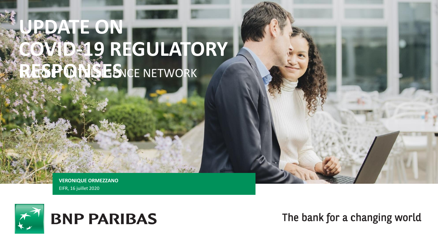# **UPDATE ON COULATORY RESPONSES** CE NETWORK

**VERONIQUE ORMEZZANO** EIFR, 16 juillet 2020



# **BNP PARIBAS**

The bank for a changing world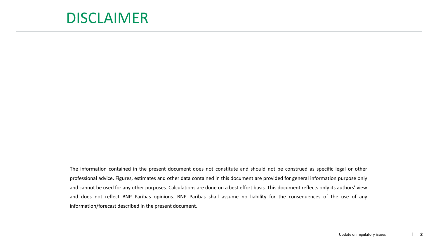### DISCLAIMER

The information contained in the present document does not constitute and should not be construed as specific legal or other professional advice. Figures, estimates and other data contained in this document are provided for general information purpose only and cannot be used for any other purposes. Calculations are done on a best effort basis. This document reflects only its authors' view and does not reflect BNP Paribas opinions. BNP Paribas shall assume no liability for the consequences of the use of any information/forecast described in the present document.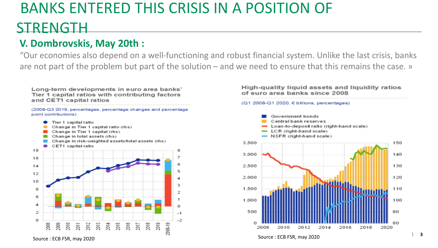## BANKS ENTERED THIS CRISIS IN A POSITION OF

## STRENGTH

### **V. Dombrovskis, May 20th :**

"Our economies also depend on a well-functioning and robust financial system. Unlike the last crisis, banks are not part of the problem but part of the solution – and we need to ensure that this remains the case. »

Long-term developments in euro area banks' Tier 1 capital ratios with contributing factors and CET1 capital ratios

(2008-Q3 2019, percentages, percentage changes and percentage point contributions)



High-quality liquid assets and liquidity ratios of euro area banks since 2008

#### $(Q1 2008-Q1 2020, \in$  billions, percentages)

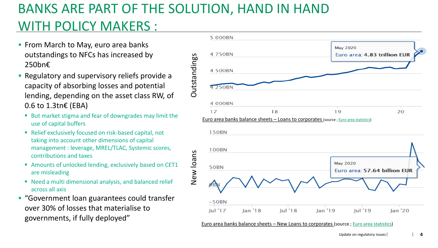## BANKS ARE PART OF THE SOLUTION, HAND IN HAND WITH POLICY MAKERS :

- **From March to May, euro area banks** outstandings to NFCs has increased by 250bn€
- Regulatory and supervisory reliefs provide a capacity of absorbing losses and potential lending, depending on the asset class RW, of 0.6 to 1.3tn€ (EBA)
	- But market stigma and fear of downgrades may limit the use of capital buffers
	- Relief exclusively focused on risk-based capital, not taking into account other dimensions of capital management : leverage, MREL/TLAC, Systemic scores, contributions and taxes
	- Amounts of unlocked lending, exclusively based on CET1 are misleading
	- Need a multi dimensional analysis, and balanced relief across all axis
- "Government loan guarantees could transfer over 30% of losses that materialise to governments, if fully deployed"

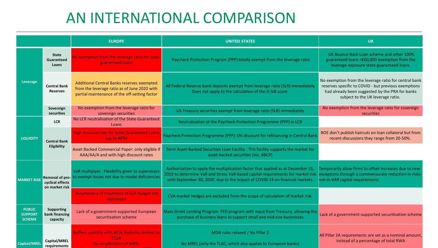## AN INTERNATIONAL COMPARISON

|                                                  |                                            | <b>EUROPE</b>                                                                                                                                      | <b>UNITED STATES</b>                                                                                                                                                                                                                                 | <b>UK</b>                                                                                                                                                                                             |
|--------------------------------------------------|--------------------------------------------|----------------------------------------------------------------------------------------------------------------------------------------------------|------------------------------------------------------------------------------------------------------------------------------------------------------------------------------------------------------------------------------------------------------|-------------------------------------------------------------------------------------------------------------------------------------------------------------------------------------------------------|
| Leverage                                         | <b>State</b><br><b>Guaranteed</b><br>Loans | No exemption from the leverage ratio for state-<br>guaranteed loans                                                                                | Paycheck Protection Program (PPP) totally exempt from the leverage ratio                                                                                                                                                                             | UK Bounce Back Loan scheme and other 100%<br>guaranteed loans <€60,000 exemption from the<br>leverage exposure state-guaranteed loans.                                                                |
|                                                  | <b>Central Bank</b><br><b>Reserves</b>     | <b>Additional Central Banks reserves exempted</b><br>from the leverage ratio as of June 2020 with<br>partial maintenance of the off-setting factor | All Federal Reserve bank deposits exempt from leverage ratio (SLR) immediately<br>Does not apply to the calculation of the G-SIB score                                                                                                               | No exemption from the leverage ratio for central bank<br>reserves specific to COVID - but previous exemptions<br>had already been suggested by the PRA for banks<br>subject to the UK leverage ratio. |
|                                                  | Sovereign<br>securities                    | No exemption from the leverage ratio for<br>sovereign securities                                                                                   | US Treasury securities exempt from leverage ratio (SLR) immediately                                                                                                                                                                                  | No exemption from the leverage ratio for sovereign<br>securities                                                                                                                                      |
| <b>LIQUIDITY</b>                                 | <b>LCR</b>                                 | No LCR neutralisation of the State Guaranteed<br>Loans                                                                                             | Neutralisation of the Paycheck Protection Programme (PPP) in LCR                                                                                                                                                                                     |                                                                                                                                                                                                       |
|                                                  | <b>Central Bank</b><br><b>Eligibility</b>  | <b>High discount rate for State Guaranteed Loans</b><br>(up to 40%)                                                                                | Paycheck Protection Programme (PPP): 0% discount for refinancing in Central Bank                                                                                                                                                                     | BOE don't publish haircuts on loan collateral but from<br>recent discussions they range from 20-50%.                                                                                                  |
|                                                  |                                            | Asset Backed Commercial Paper: only eligible if<br>AAA/AA/A and with high discount rates                                                           | Term Asset-Backed Securities Loan Facility: This facility supports the market for<br>asset-backed securities (inc. ABCP)                                                                                                                             |                                                                                                                                                                                                       |
| <b>MARKET RISK</b>                               | cyclical effects<br>on market risk         | VaR multiplyer : Flexibility given to supervisors<br>Removal of pro- to exempt losses not due to model deficiencies                                | Authorization to apply the multiplication factor that applied as at December 31,<br>2019 to determine VaR and Stress VaR-based capital requirements for market risk<br>until September 30, 2020, due to the impact of COVID-19 on financial markets. | Temporarily allow firms to offset increases due to new<br>exceptions through a commensurate reduction in risks-<br>not-in-VAR capital requirements.                                                   |
|                                                  |                                            | Assymmetry of treatment of xVA hedges not<br>addressed                                                                                             | CVA market hedges are excluded from the scope of calculation of market risk.                                                                                                                                                                         |                                                                                                                                                                                                       |
| <b>PUBLIC</b><br><b>SUPPORT</b><br><b>SCHEME</b> | Supporting<br>bank financing<br>capacity   | Lack of a government-supported European<br>securitisation scheme                                                                                   | Main Street Lending Program: FED program with input from Treasury, allowing the<br>purchase of business loans to support small and mid-size businesses                                                                                               | Lack of a government-supported securitisation scheme                                                                                                                                                  |
| <b>Capital/MREL</b>                              | Capital/MREL<br>requirements               | Buffers usability with MDA flexibility limited to<br><b>CC<sub>VB</sub></b><br>No recalibration of MREL                                            | MDA rules relaxed / No Pillar 2<br>No MREL (only the TLAC, which also applies to European banks)                                                                                                                                                     | All Pillar 2A requirements are set as a nominal amount,<br>instead of a percentage of total RWA                                                                                                       |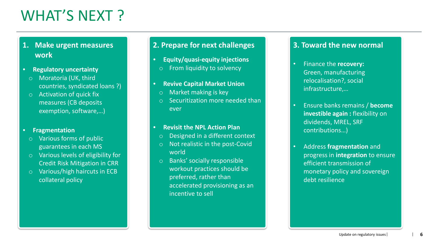## WHAT'S NEXT?

### **1. Make urgent measures work**

- **Regulatory uncertainty**
	- o Moratoria (UK, third countries, syndicated loans ?)
- o Activation of quick fix measures (CB deposits exemption, software,…)

#### • **Fragmentation**

- Various forms of public guarantees in each MS
- o Various levels of eligibility for Credit Risk Mitigation in CRR
- o Various/high haircuts in ECB collateral policy

### **2. Prepare for next challenges**

- **Equity/quasi-equity injections**
- o From liquidity to solvency
- **Revive Capital Market Union**
- o Market making is key
- Securitization more needed than ever

#### • **Revisit the NPL Action Plan**

- o Designed in a different context
- o Not realistic in the post-Covid world
- o Banks' socially responsible workout practices should be preferred, rather than accelerated provisioning as an incentive to sell

#### **3. Toward the new normal**

- Finance the **recovery:**  Green, manufacturing relocalisation?, social infrastructure,…
- Ensure banks remains / **become investible again :** flexibility on dividends, MREL, SRF contributions…)
- Address **fragmentation** and progress in **integration** to ensure efficient transmission of monetary policy and sovereign debt resilience